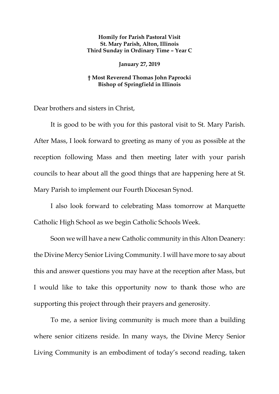## **Homily for Parish Pastoral Visit St. Mary Parish, Alton, Illinois Third Sunday in Ordinary Time – Year C**

## **January 27, 2019**

## **† Most Reverend Thomas John Paprocki Bishop of Springfield in Illinois**

Dear brothers and sisters in Christ,

It is good to be with you for this pastoral visit to St. Mary Parish. After Mass, I look forward to greeting as many of you as possible at the reception following Mass and then meeting later with your parish councils to hear about all the good things that are happening here at St. Mary Parish to implement our Fourth Diocesan Synod.

I also look forward to celebrating Mass tomorrow at Marquette Catholic High School as we begin Catholic Schools Week.

Soon we will have a new Catholic community in this Alton Deanery: the Divine Mercy Senior Living Community. I will have more to say about this and answer questions you may have at the reception after Mass, but I would like to take this opportunity now to thank those who are supporting this project through their prayers and generosity.

To me, a senior living community is much more than a building where senior citizens reside. In many ways, the Divine Mercy Senior Living Community is an embodiment of today's second reading, taken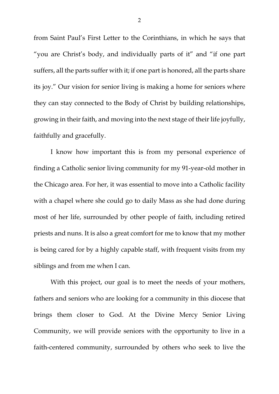from Saint Paul's First Letter to the Corinthians, in which he says that "you are Christ's body, and individually parts of it" and "if one part suffers, all the parts suffer with it; if one part is honored, all the parts share its joy." Our vision for senior living is making a home for seniors where they can stay connected to the Body of Christ by building relationships, growing in their faith, and moving into the next stage of their life joyfully, faithfully and gracefully.

I know how important this is from my personal experience of finding a Catholic senior living community for my 91-year-old mother in the Chicago area. For her, it was essential to move into a Catholic facility with a chapel where she could go to daily Mass as she had done during most of her life, surrounded by other people of faith, including retired priests and nuns. It is also a great comfort for me to know that my mother is being cared for by a highly capable staff, with frequent visits from my siblings and from me when I can.

With this project, our goal is to meet the needs of your mothers, fathers and seniors who are looking for a community in this diocese that brings them closer to God. At the Divine Mercy Senior Living Community, we will provide seniors with the opportunity to live in a faith-centered community, surrounded by others who seek to live the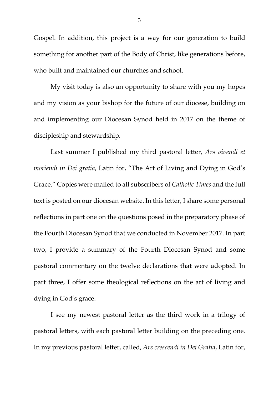Gospel. In addition, this project is a way for our generation to build something for another part of the Body of Christ, like generations before, who built and maintained our churches and school.

My visit today is also an opportunity to share with you my hopes and my vision as your bishop for the future of our diocese, building on and implementing our Diocesan Synod held in 2017 on the theme of discipleship and stewardship.

<span id="page-2-0"></span>Last summer I published my third pastoral letter, *Ars vivendi et moriendi in Dei gratia*, Latin for, "The Art of Living and Dying in God's Grace." Copies were mailed to all subscribers of *Catholic Times* and the full text is posted on our diocesan website. In this letter, I share some personal reflections in part one on the questions posed in the preparatory phase of the Fourth Diocesan Synod that we conducted in November 2017. In part two, I provide a summary of the Fourth Diocesan Synod and some pastoral commentary on the twelve declarations that were adopted. In part three, I offer some theological reflections on the art of living and dying in God's grace.

I see my newest pastoral letter as the third work in a trilogy of pastoral letters, with each pastoral letter building on the preceding one. In my previous pastoral letter, called, *Ars crescendi in Dei Gratia*, Latin for,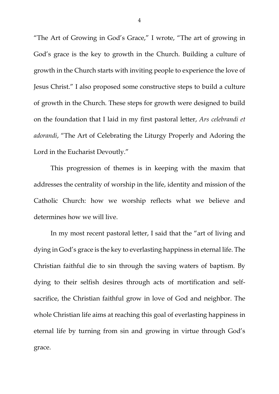"The Art of Growing in God's Grace," I wrote, "The art of growing in God's grace is the key to growth in the Church. Building a culture of growth in the Church starts with inviting people to experience the love of Jesus Christ." I also proposed some constructive steps to build a culture of growth in the Church. These steps for growth were designed to build on the foundation that I laid in my first pastoral letter, *Ars celebrandi et adorandi*, "The Art of Celebrating the Liturgy Properly and Adoring the Lord in the Eucharist Devoutly."

This progression of themes is in keeping with the maxim that addresses the centrality of worship in the life, identity and mission of the Catholic Church: how we worship reflects what we believe and determines how we will live.

In my most recent pastoral letter, I said that the "art of living and dying in God's grace is the key to everlasting happiness in eternal life. The Christian faithful die to sin through the saving waters of baptism. By dying to their selfish desires through acts of mortification and selfsacrifice, the Christian faithful grow in love of God and neighbor. The whole Christian life aims at reaching this goal of everlasting happiness in eternal life by turning from sin and growing in virtue through God's grace.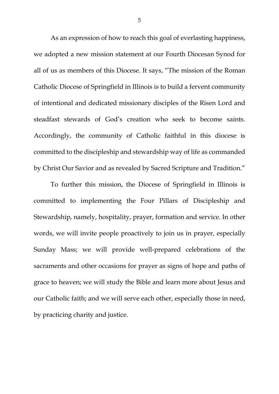As an expression of how to reach this goal of everlasting happiness, we adopted a new mission statement at our Fourth Diocesan Synod for all of us as members of this Diocese. It says, "The mission of the Roman Catholic Diocese of Springfield in Illinois is to build a fervent community of intentional and dedicated missionary disciples of the Risen Lord and steadfast stewards of God's creation who seek to become saints. Accordingly, the community of Catholic faithful in this diocese is committed to the discipleship and stewardship way of life as commanded by Christ Our Savior and as revealed by Sacred Scripture and Tradition."

To further this mission, the Diocese of Springfield in Illinois is committed to implementing the Four Pillars of Discipleship and Stewardship, namely, hospitality, prayer, formation and service. In other words, we will invite people proactively to join us in prayer, especially Sunday Mass; we will provide well-prepared celebrations of the sacraments and other occasions for prayer as signs of hope and paths of grace to heaven; we will study the Bible and learn more about Jesus and our Catholic faith; and we will serve each other, especially those in need, by practicing charity and justice.

5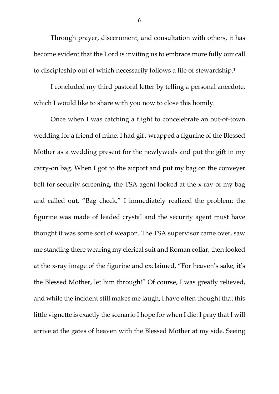Through prayer, discernment, and consultation with others, it has become evident that the Lord is inviting us to embrace more fully our call to discipleship out of which necessarily follows a life of stewardship.[1](#page-2-0)

I concluded my third pastoral letter by telling a personal anecdote, which I would like to share with you now to close this homily.

Once when I was catching a flight to concelebrate an out-of-town wedding for a friend of mine, I had gift-wrapped a figurine of the Blessed Mother as a wedding present for the newlyweds and put the gift in my carry-on bag. When I got to the airport and put my bag on the conveyer belt for security screening, the TSA agent looked at the x-ray of my bag and called out, "Bag check." I immediately realized the problem: the figurine was made of leaded crystal and the security agent must have thought it was some sort of weapon. The TSA supervisor came over, saw me standing there wearing my clerical suit and Roman collar, then looked at the x-ray image of the figurine and exclaimed, "For heaven's sake, it's the Blessed Mother, let him through!" Of course, I was greatly relieved, and while the incident still makes me laugh, I have often thought that this little vignette is exactly the scenario I hope for when I die: I pray that I will arrive at the gates of heaven with the Blessed Mother at my side. Seeing

6